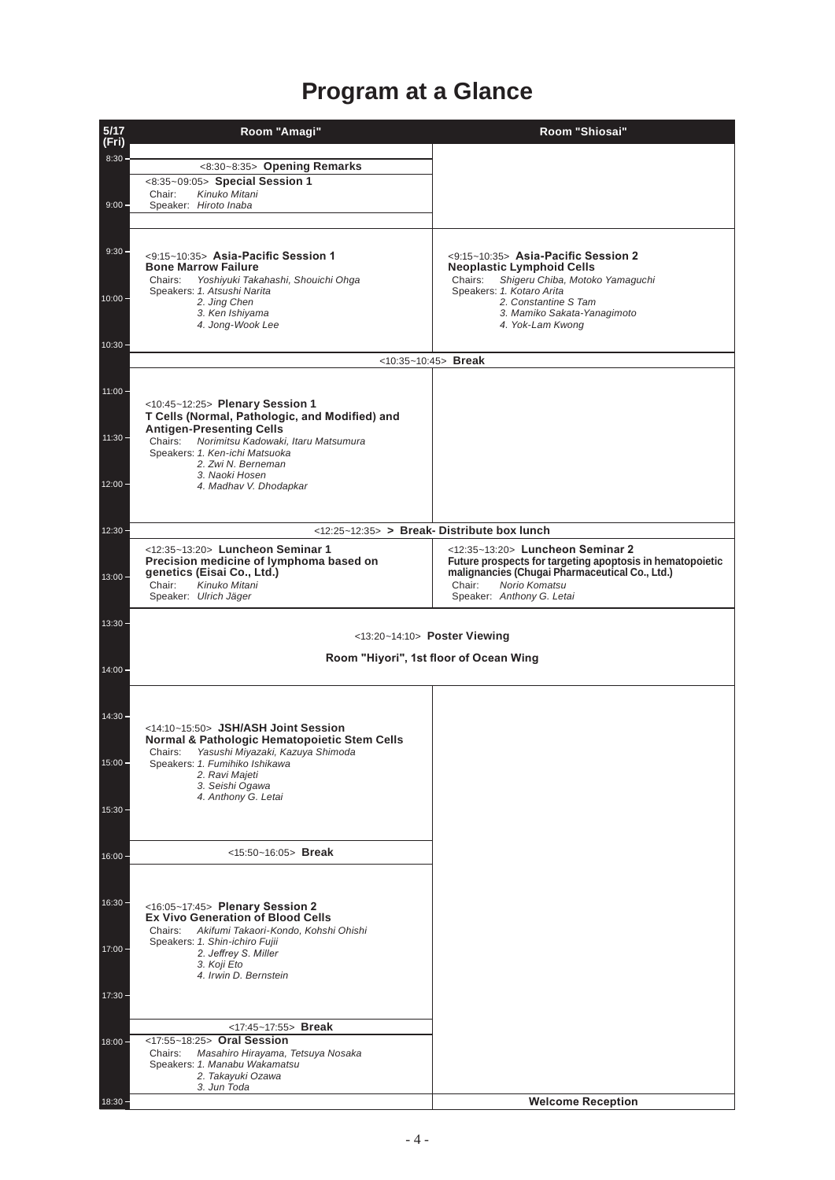## **Program at a Glance**

| $5/17$        | Room "Amagi"                                                                        | Room "Shiosai"                                                                 |  |
|---------------|-------------------------------------------------------------------------------------|--------------------------------------------------------------------------------|--|
| (Fri)         |                                                                                     |                                                                                |  |
| 8:30          | <8:30~8:35> Opening Remarks                                                         |                                                                                |  |
|               | <8:35~09:05> Special Session 1                                                      |                                                                                |  |
|               | Kinuko Mitani<br>Chair:                                                             |                                                                                |  |
| $9:00 -$      | Speaker: Hiroto Inaba                                                               |                                                                                |  |
|               |                                                                                     |                                                                                |  |
|               |                                                                                     |                                                                                |  |
| $9:30 -$      | <9:15~10:35> Asia-Pacific Session 1                                                 | $<9:15~10:35>$ Asia-Pacific Session 2                                          |  |
|               | <b>Bone Marrow Failure</b><br>Chairs:<br>Yoshiyuki Takahashi, Shouichi Ohga         | <b>Neoplastic Lymphoid Cells</b><br>Shigeru Chiba, Motoko Yamaguchi<br>Chairs: |  |
|               | Speakers: 1. Atsushi Narita                                                         | Speakers: 1. Kotaro Arita                                                      |  |
| $10:00 -$     | 2. Jing Chen                                                                        | 2. Constantine S Tam                                                           |  |
|               | 3. Ken Ishiyama<br>4. Jong-Wook Lee                                                 | 3. Mamiko Sakata-Yanagimoto<br>4. Yok-Lam Kwong                                |  |
|               |                                                                                     |                                                                                |  |
| $10:30 -$     | $<10:35-10:45>$ Break                                                               |                                                                                |  |
|               |                                                                                     |                                                                                |  |
| $11:00 -$     |                                                                                     |                                                                                |  |
|               | <10:45~12:25> Plenary Session 1                                                     |                                                                                |  |
|               | T Cells (Normal, Pathologic, and Modified) and                                      |                                                                                |  |
| $11:30 -$     | <b>Antigen-Presenting Cells</b>                                                     |                                                                                |  |
|               | Norimitsu Kadowaki, Itaru Matsumura<br>Chairs:<br>Speakers: 1. Ken-ichi Matsuoka    |                                                                                |  |
|               | 2. Zwi N. Berneman                                                                  |                                                                                |  |
| $12:00 -$     | 3. Naoki Hosen                                                                      |                                                                                |  |
|               | 4. Madhav V. Dhodapkar                                                              |                                                                                |  |
|               |                                                                                     |                                                                                |  |
| $12:30 -$     | <12:25~12:35> > Break-Distribute box lunch                                          |                                                                                |  |
|               | <12:35~13:20> Luncheon Seminar 1                                                    | <12:35~13:20> Luncheon Seminar 2                                               |  |
|               | Precision medicine of lymphoma based on                                             | Future prospects for targeting apoptosis in hematopoietic                      |  |
| $13:00 -$     | genetics (Eisai Co., Ltd.)                                                          | malignancies (Chugai Pharmaceutical Co., Ltd.)                                 |  |
|               | Chair:<br>Kinuko Mitani<br>Speaker: Ulrich Jäger                                    | Chair:<br>Norio Komatsu<br>Speaker: Anthony G. Letai                           |  |
|               |                                                                                     |                                                                                |  |
| $13:30 -$     |                                                                                     |                                                                                |  |
|               | <13:20~14:10> Poster Viewing                                                        |                                                                                |  |
|               | Room "Hiyori", 1st floor of Ocean Wing                                              |                                                                                |  |
| $14:00 \cdot$ |                                                                                     |                                                                                |  |
|               |                                                                                     |                                                                                |  |
|               |                                                                                     |                                                                                |  |
| 14:30         |                                                                                     |                                                                                |  |
|               | <14:10~15:50> JSH/ASH Joint Session<br>Normal & Pathologic Hematopoietic Stem Cells |                                                                                |  |
|               | Chairs:<br>Yasushi Miyazaki, Kazuya Shimoda                                         |                                                                                |  |
| $15:00 -$     | Speakers: 1. Fumihiko Ishikawa                                                      |                                                                                |  |
|               | 2. Ravi Majeti<br>3. Seishi Ogawa                                                   |                                                                                |  |
|               | 4. Anthony G. Letai                                                                 |                                                                                |  |
| $15:30 -$     |                                                                                     |                                                                                |  |
|               |                                                                                     |                                                                                |  |
|               |                                                                                     |                                                                                |  |
| $16:00 -$     | <15:50~16:05> Break                                                                 |                                                                                |  |
|               |                                                                                     |                                                                                |  |
|               |                                                                                     |                                                                                |  |
| $16:30 -$     | <16:05~17:45> Plenary Session 2                                                     |                                                                                |  |
|               | <b>Ex Vivo Generation of Blood Cells</b>                                            |                                                                                |  |
|               | Chairs:<br>Akifumi Takaori-Kondo, Kohshi Ohishi<br>Speakers: 1. Shin-ichiro Fujii   |                                                                                |  |
| $17:00 -$     | 2. Jeffrey S. Miller                                                                |                                                                                |  |
|               | 3. Koji Eto<br>4. Irwin D. Bernstein                                                |                                                                                |  |
|               |                                                                                     |                                                                                |  |
| 17:30 -       |                                                                                     |                                                                                |  |
|               |                                                                                     |                                                                                |  |
|               | <17:45~17:55> Break                                                                 |                                                                                |  |
| $18:00 -$     | <17:55~18:25> Oral Session<br>Chairs:<br>Masahiro Hirayama, Tetsuya Nosaka          |                                                                                |  |
|               | Speakers: 1. Manabu Wakamatsu                                                       |                                                                                |  |
|               | 2. Takayuki Ozawa<br>3. Jun Toda                                                    |                                                                                |  |
| $18:30 -$     |                                                                                     | <b>Welcome Reception</b>                                                       |  |